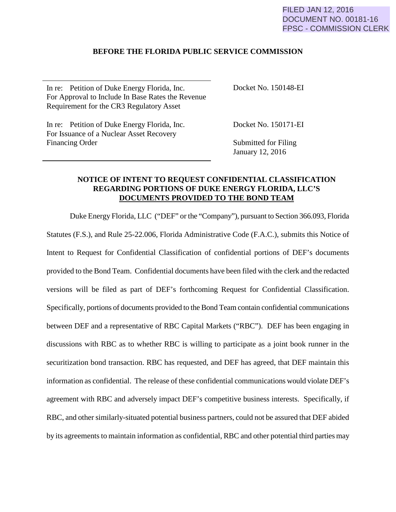## FILED JAN 12, 2016 DOCUMENT NO. 00181-16 FPSC - COMMISSION CLERK

## **BEFORE THE FLORIDA PUBLIC SERVICE COMMISSION**

In re: Petition of Duke Energy Florida, Inc. For Approval to Include In Base Rates the Revenue Requirement for the CR3 Regulatory Asset

Docket No. 150148-EI

In re: Petition of Duke Energy Florida, Inc. For Issuance of a Nuclear Asset Recovery Financing Order

Docket No. 150171-EI

Submitted for Filing January 12, 2016

## **NOTICE OF INTENT TO REQUEST CONFIDENTIAL CLASSIFICATION REGARDING PORTIONS OF DUKE ENERGY FLORIDA, LLC'S DOCUMENTS PROVIDED TO THE BOND TEAM**

Duke Energy Florida, LLC ("DEF" or the "Company"), pursuant to Section 366.093, Florida Statutes (F.S.), and Rule 25-22.006, Florida Administrative Code (F.A.C.), submits this Notice of Intent to Request for Confidential Classification of confidential portions of DEF's documents provided to the Bond Team. Confidential documents have been filed with the clerk and the redacted versions will be filed as part of DEF's forthcoming Request for Confidential Classification. Specifically, portions of documents provided to the Bond Team contain confidential communications between DEF and a representative of RBC Capital Markets ("RBC"). DEF has been engaging in discussions with RBC as to whether RBC is willing to participate as a joint book runner in the securitization bond transaction. RBC has requested, and DEF has agreed, that DEF maintain this information as confidential. The release of these confidential communications would violate DEF's agreement with RBC and adversely impact DEF's competitive business interests. Specifically, if RBC, and other similarly-situated potential business partners, could not be assured that DEF abided by its agreements to maintain information as confidential, RBC and other potential third parties may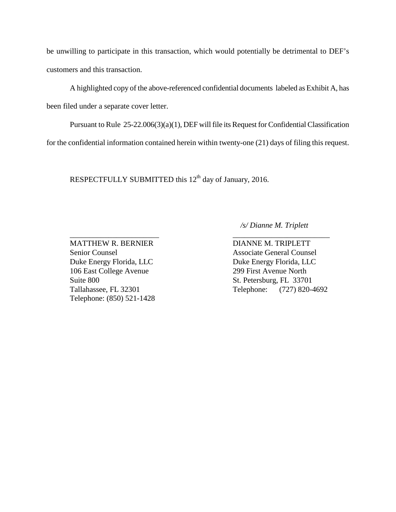be unwilling to participate in this transaction, which would potentially be detrimental to DEF's customers and this transaction.

A highlighted copy of the above-referenced confidential documents labeled as Exhibit A, has been filed under a separate cover letter.

 Pursuant to Rule 25-22.006(3)(a)(1), DEF will file its Request for Confidential Classification for the confidential information contained herein within twenty-one (21) days of filing this request.

\_\_\_\_\_\_\_\_\_\_\_\_\_\_\_\_\_\_\_\_\_\_\_ \_\_\_\_\_\_\_\_\_\_\_\_\_\_\_\_\_\_\_\_\_\_\_\_\_

RESPECTFULLY SUBMITTED this 12<sup>th</sup> day of January, 2016.

 */s/ Dianne M. Triplett*

Duke Energy Florida, LLC<br>Duke Energy Florida, LLC 106 East College Avenue 299 First Avenue North Suite 800 St. Petersburg, FL 33701 Telephone: (850) 521-1428

MATTHEW R. BERNIER DIANNE M. TRIPLETT Senior Counsel Associate General Counsel Tallahassee, FL 32301 Telephone: (727) 820-4692